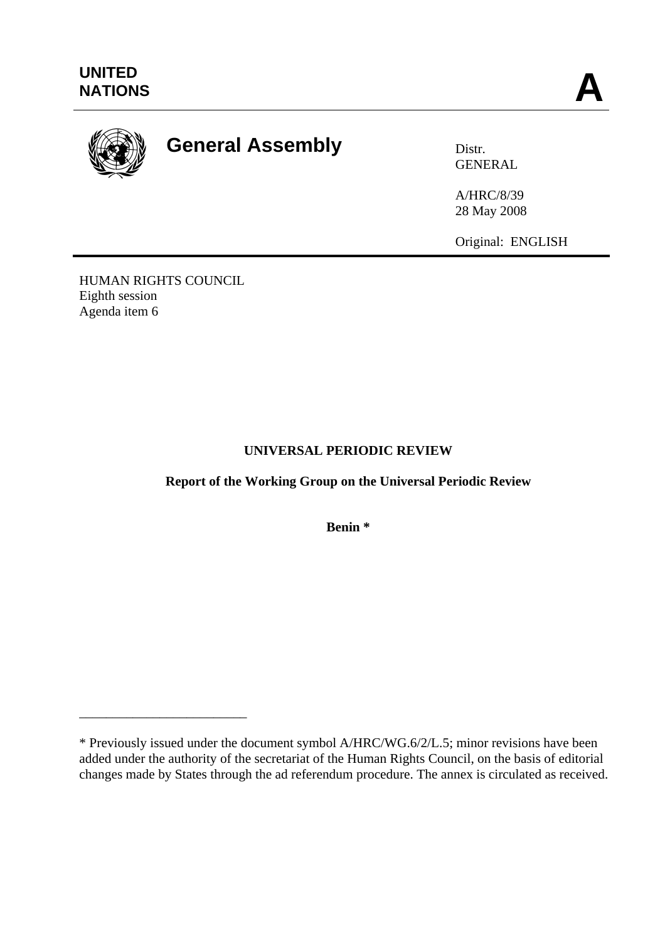

# **General Assembly Distra Distr.**

GENERAL

A/HRC/8/39 28 May 2008

Original: ENGLISH

HUMAN RIGHTS COUNCIL Eighth session Agenda item 6

\_\_\_\_\_\_\_\_\_\_\_\_\_\_\_\_\_\_\_\_\_\_\_\_\_

## **UNIVERSAL PERIODIC REVIEW**

**Report of the Working Group on the Universal Periodic Review** 

**Benin \*** 

<sup>\*</sup> Previously issued under the document symbol A/HRC/WG.6/2/L.5; minor revisions have been added under the authority of the secretariat of the Human Rights Council, on the basis of editorial changes made by States through the ad referendum procedure. The annex is circulated as received.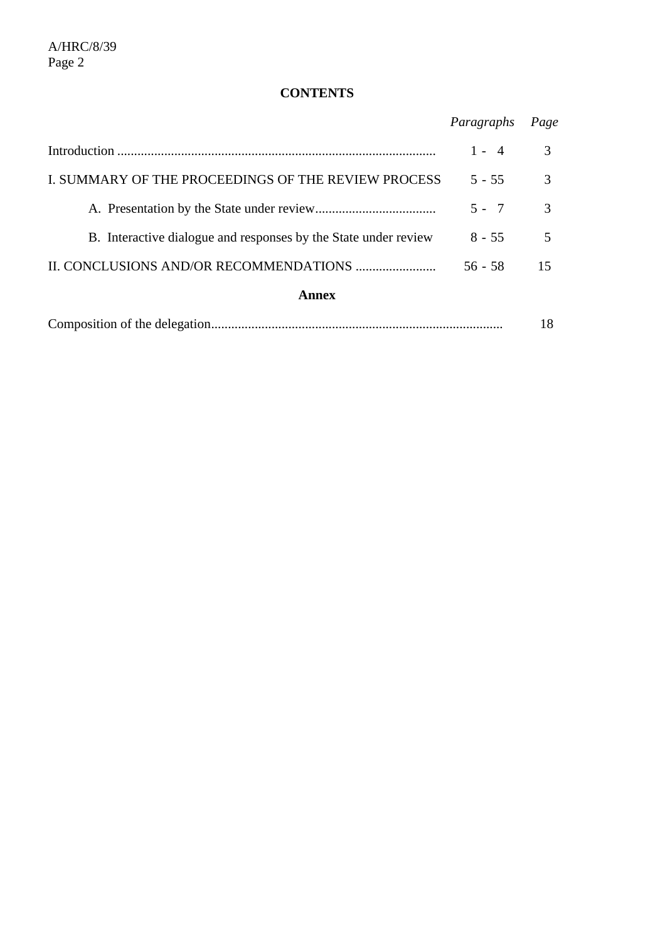# **CONTENTS**

|                                                                 | Paragraphs | Page |
|-----------------------------------------------------------------|------------|------|
|                                                                 | $1 - 4$    | 3    |
| I. SUMMARY OF THE PROCEEDINGS OF THE REVIEW PROCESS             | $5 - 55$   | 3    |
|                                                                 | $5 - 7$    | 3    |
| B. Interactive dialogue and responses by the State under review | $8 - 55$   | 5    |
|                                                                 | $56 - 58$  | 15   |
| <b>Annex</b>                                                    |            |      |
|                                                                 |            | 18   |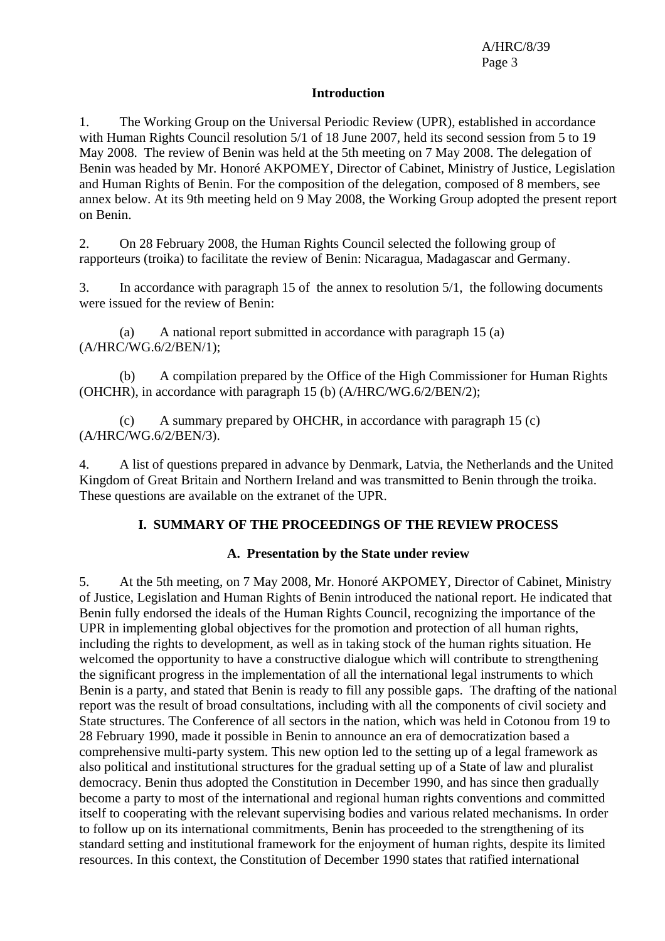#### **Introduction**

1. The Working Group on the Universal Periodic Review (UPR), established in accordance with Human Rights Council resolution 5/1 of 18 June 2007, held its second session from 5 to 19 May 2008. The review of Benin was held at the 5th meeting on 7 May 2008. The delegation of Benin was headed by Mr. Honoré AKPOMEY, Director of Cabinet, Ministry of Justice, Legislation and Human Rights of Benin. For the composition of the delegation, composed of 8 members, see annex below. At its 9th meeting held on 9 May 2008, the Working Group adopted the present report on Benin.

2. On 28 February 2008, the Human Rights Council selected the following group of rapporteurs (troika) to facilitate the review of Benin: Nicaragua, Madagascar and Germany.

3. In accordance with paragraph 15 of the annex to resolution 5/1, the following documents were issued for the review of Benin:

 (a) A national report submitted in accordance with paragraph 15 (a) (A/HRC/WG.6/2/BEN/1);

 (b) A compilation prepared by the Office of the High Commissioner for Human Rights (OHCHR), in accordance with paragraph 15 (b) (A/HRC/WG.6/2/BEN/2);

 (c) A summary prepared by OHCHR, in accordance with paragraph 15 (c) (A/HRC/WG.6/2/BEN/3).

4. A list of questions prepared in advance by Denmark, Latvia, the Netherlands and the United Kingdom of Great Britain and Northern Ireland and was transmitted to Benin through the troika. These questions are available on the extranet of the UPR.

#### **I. SUMMARY OF THE PROCEEDINGS OF THE REVIEW PROCESS**

#### **A. Presentation by the State under review**

5. At the 5th meeting, on 7 May 2008, Mr. Honoré AKPOMEY, Director of Cabinet, Ministry of Justice, Legislation and Human Rights of Benin introduced the national report. He indicated that Benin fully endorsed the ideals of the Human Rights Council, recognizing the importance of the UPR in implementing global objectives for the promotion and protection of all human rights, including the rights to development, as well as in taking stock of the human rights situation. He welcomed the opportunity to have a constructive dialogue which will contribute to strengthening the significant progress in the implementation of all the international legal instruments to which Benin is a party, and stated that Benin is ready to fill any possible gaps. The drafting of the national report was the result of broad consultations, including with all the components of civil society and State structures. The Conference of all sectors in the nation, which was held in Cotonou from 19 to 28 February 1990, made it possible in Benin to announce an era of democratization based a comprehensive multi-party system. This new option led to the setting up of a legal framework as also political and institutional structures for the gradual setting up of a State of law and pluralist democracy. Benin thus adopted the Constitution in December 1990, and has since then gradually become a party to most of the international and regional human rights conventions and committed itself to cooperating with the relevant supervising bodies and various related mechanisms. In order to follow up on its international commitments, Benin has proceeded to the strengthening of its standard setting and institutional framework for the enjoyment of human rights, despite its limited resources. In this context, the Constitution of December 1990 states that ratified international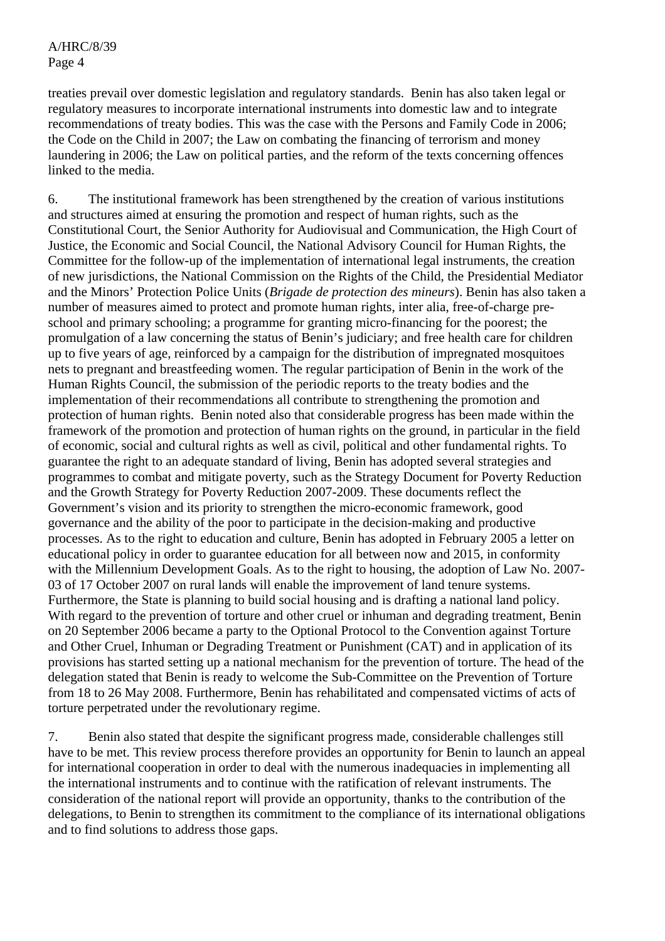treaties prevail over domestic legislation and regulatory standards. Benin has also taken legal or regulatory measures to incorporate international instruments into domestic law and to integrate recommendations of treaty bodies. This was the case with the Persons and Family Code in 2006; the Code on the Child in 2007; the Law on combating the financing of terrorism and money laundering in 2006; the Law on political parties, and the reform of the texts concerning offences linked to the media.

6. The institutional framework has been strengthened by the creation of various institutions and structures aimed at ensuring the promotion and respect of human rights, such as the Constitutional Court, the Senior Authority for Audiovisual and Communication, the High Court of Justice, the Economic and Social Council, the National Advisory Council for Human Rights, the Committee for the follow-up of the implementation of international legal instruments, the creation of new jurisdictions, the National Commission on the Rights of the Child, the Presidential Mediator and the Minors' Protection Police Units (*Brigade de protection des mineurs*). Benin has also taken a number of measures aimed to protect and promote human rights, inter alia, free-of-charge preschool and primary schooling; a programme for granting micro-financing for the poorest; the promulgation of a law concerning the status of Benin's judiciary; and free health care for children up to five years of age, reinforced by a campaign for the distribution of impregnated mosquitoes nets to pregnant and breastfeeding women. The regular participation of Benin in the work of the Human Rights Council, the submission of the periodic reports to the treaty bodies and the implementation of their recommendations all contribute to strengthening the promotion and protection of human rights. Benin noted also that considerable progress has been made within the framework of the promotion and protection of human rights on the ground, in particular in the field of economic, social and cultural rights as well as civil, political and other fundamental rights. To guarantee the right to an adequate standard of living, Benin has adopted several strategies and programmes to combat and mitigate poverty, such as the Strategy Document for Poverty Reduction and the Growth Strategy for Poverty Reduction 2007-2009. These documents reflect the Government's vision and its priority to strengthen the micro-economic framework, good governance and the ability of the poor to participate in the decision-making and productive processes. As to the right to education and culture, Benin has adopted in February 2005 a letter on educational policy in order to guarantee education for all between now and 2015, in conformity with the Millennium Development Goals. As to the right to housing, the adoption of Law No. 2007-03 of 17 October 2007 on rural lands will enable the improvement of land tenure systems. Furthermore, the State is planning to build social housing and is drafting a national land policy. With regard to the prevention of torture and other cruel or inhuman and degrading treatment, Benin on 20 September 2006 became a party to the Optional Protocol to the Convention against Torture and Other Cruel, Inhuman or Degrading Treatment or Punishment (CAT) and in application of its provisions has started setting up a national mechanism for the prevention of torture. The head of the delegation stated that Benin is ready to welcome the Sub-Committee on the Prevention of Torture from 18 to 26 May 2008. Furthermore, Benin has rehabilitated and compensated victims of acts of torture perpetrated under the revolutionary regime.

7. Benin also stated that despite the significant progress made, considerable challenges still have to be met. This review process therefore provides an opportunity for Benin to launch an appeal for international cooperation in order to deal with the numerous inadequacies in implementing all the international instruments and to continue with the ratification of relevant instruments. The consideration of the national report will provide an opportunity, thanks to the contribution of the delegations, to Benin to strengthen its commitment to the compliance of its international obligations and to find solutions to address those gaps.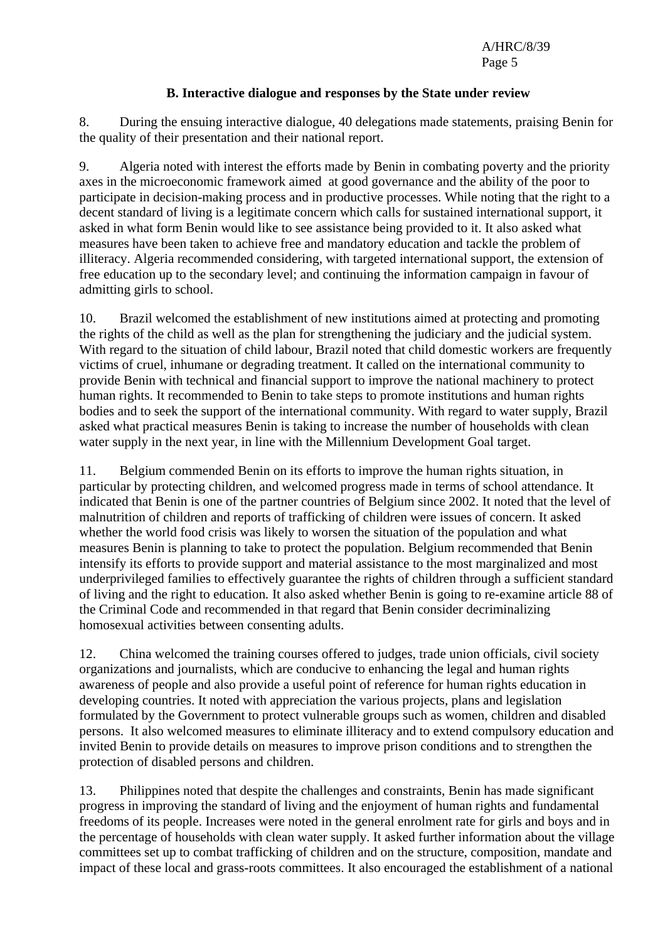#### **B. Interactive dialogue and responses by the State under review**

8. During the ensuing interactive dialogue, 40 delegations made statements, praising Benin for the quality of their presentation and their national report.

9. Algeria noted with interest the efforts made by Benin in combating poverty and the priority axes in the microeconomic framework aimed at good governance and the ability of the poor to participate in decision-making process and in productive processes. While noting that the right to a decent standard of living is a legitimate concern which calls for sustained international support, it asked in what form Benin would like to see assistance being provided to it. It also asked what measures have been taken to achieve free and mandatory education and tackle the problem of illiteracy. Algeria recommended considering, with targeted international support, the extension of free education up to the secondary level; and continuing the information campaign in favour of admitting girls to school.

10. Brazil welcomed the establishment of new institutions aimed at protecting and promoting the rights of the child as well as the plan for strengthening the judiciary and the judicial system. With regard to the situation of child labour, Brazil noted that child domestic workers are frequently victims of cruel, inhumane or degrading treatment. It called on the international community to provide Benin with technical and financial support to improve the national machinery to protect human rights. It recommended to Benin to take steps to promote institutions and human rights bodies and to seek the support of the international community. With regard to water supply, Brazil asked what practical measures Benin is taking to increase the number of households with clean water supply in the next year, in line with the Millennium Development Goal target.

11. Belgium commended Benin on its efforts to improve the human rights situation, in particular by protecting children, and welcomed progress made in terms of school attendance. It indicated that Benin is one of the partner countries of Belgium since 2002. It noted that the level of malnutrition of children and reports of trafficking of children were issues of concern. It asked whether the world food crisis was likely to worsen the situation of the population and what measures Benin is planning to take to protect the population. Belgium recommended that Benin intensify its efforts to provide support and material assistance to the most marginalized and most underprivileged families to effectively guarantee the rights of children through a sufficient standard of living and the right to education*.* It also asked whether Benin is going to re-examine article 88 of the Criminal Code and recommended in that regard that Benin consider decriminalizing homosexual activities between consenting adults.

12. China welcomed the training courses offered to judges, trade union officials, civil society organizations and journalists, which are conducive to enhancing the legal and human rights awareness of people and also provide a useful point of reference for human rights education in developing countries. It noted with appreciation the various projects, plans and legislation formulated by the Government to protect vulnerable groups such as women, children and disabled persons. It also welcomed measures to eliminate illiteracy and to extend compulsory education and invited Benin to provide details on measures to improve prison conditions and to strengthen the protection of disabled persons and children.

13. Philippines noted that despite the challenges and constraints, Benin has made significant progress in improving the standard of living and the enjoyment of human rights and fundamental freedoms of its people. Increases were noted in the general enrolment rate for girls and boys and in the percentage of households with clean water supply. It asked further information about the village committees set up to combat trafficking of children and on the structure, composition, mandate and impact of these local and grass-roots committees. It also encouraged the establishment of a national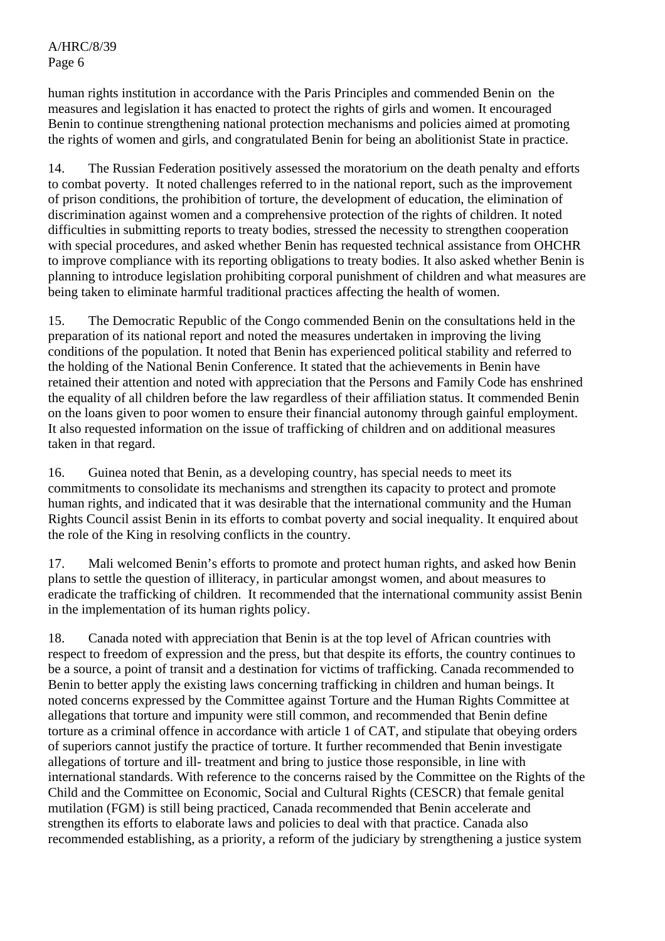human rights institution in accordance with the Paris Principles and commended Benin on the measures and legislation it has enacted to protect the rights of girls and women. It encouraged Benin to continue strengthening national protection mechanisms and policies aimed at promoting the rights of women and girls, and congratulated Benin for being an abolitionist State in practice.

14. The Russian Federation positively assessed the moratorium on the death penalty and efforts to combat poverty. It noted challenges referred to in the national report, such as the improvement of prison conditions, the prohibition of torture, the development of education, the elimination of discrimination against women and a comprehensive protection of the rights of children. It noted difficulties in submitting reports to treaty bodies, stressed the necessity to strengthen cooperation with special procedures, and asked whether Benin has requested technical assistance from OHCHR to improve compliance with its reporting obligations to treaty bodies. It also asked whether Benin is planning to introduce legislation prohibiting corporal punishment of children and what measures are being taken to eliminate harmful traditional practices affecting the health of women.

15. The Democratic Republic of the Congo commended Benin on the consultations held in the preparation of its national report and noted the measures undertaken in improving the living conditions of the population. It noted that Benin has experienced political stability and referred to the holding of the National Benin Conference. It stated that the achievements in Benin have retained their attention and noted with appreciation that the Persons and Family Code has enshrined the equality of all children before the law regardless of their affiliation status. It commended Benin on the loans given to poor women to ensure their financial autonomy through gainful employment. It also requested information on the issue of trafficking of children and on additional measures taken in that regard.

16. Guinea noted that Benin, as a developing country, has special needs to meet its commitments to consolidate its mechanisms and strengthen its capacity to protect and promote human rights, and indicated that it was desirable that the international community and the Human Rights Council assist Benin in its efforts to combat poverty and social inequality. It enquired about the role of the King in resolving conflicts in the country.

17. Mali welcomed Benin's efforts to promote and protect human rights, and asked how Benin plans to settle the question of illiteracy, in particular amongst women, and about measures to eradicate the trafficking of children. It recommended that the international community assist Benin in the implementation of its human rights policy.

18. Canada noted with appreciation that Benin is at the top level of African countries with respect to freedom of expression and the press, but that despite its efforts, the country continues to be a source, a point of transit and a destination for victims of trafficking. Canada recommended to Benin to better apply the existing laws concerning trafficking in children and human beings. It noted concerns expressed by the Committee against Torture and the Human Rights Committee at allegations that torture and impunity were still common, and recommended that Benin define torture as a criminal offence in accordance with article 1 of CAT, and stipulate that obeying orders of superiors cannot justify the practice of torture. It further recommended that Benin investigate allegations of torture and ill- treatment and bring to justice those responsible, in line with international standards. With reference to the concerns raised by the Committee on the Rights of the Child and the Committee on Economic, Social and Cultural Rights (CESCR) that female genital mutilation (FGM) is still being practiced, Canada recommended that Benin accelerate and strengthen its efforts to elaborate laws and policies to deal with that practice. Canada also recommended establishing, as a priority, a reform of the judiciary by strengthening a justice system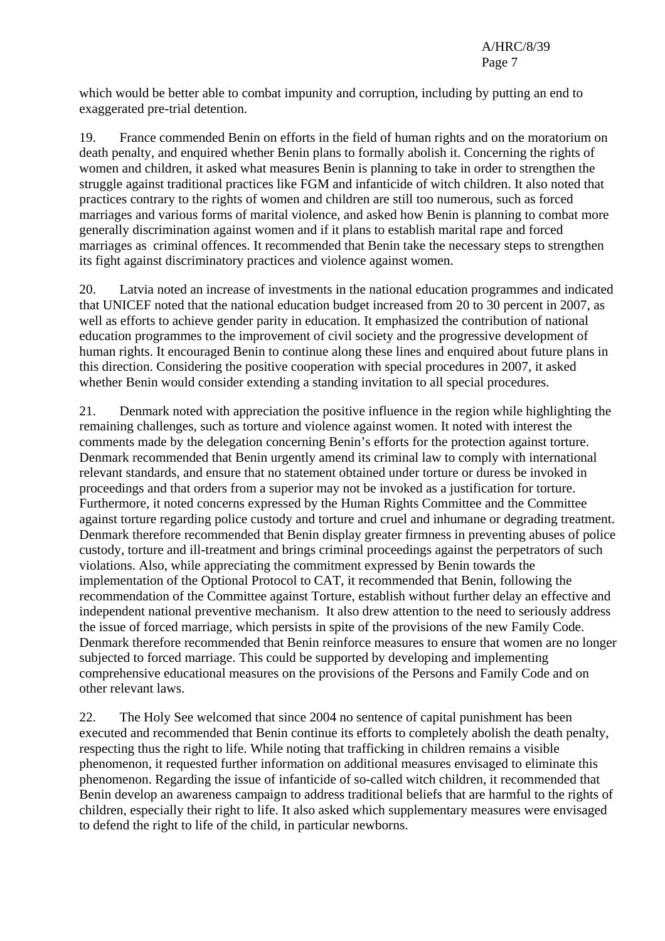which would be better able to combat impunity and corruption, including by putting an end to exaggerated pre-trial detention.

19. France commended Benin on efforts in the field of human rights and on the moratorium on death penalty, and enquired whether Benin plans to formally abolish it. Concerning the rights of women and children, it asked what measures Benin is planning to take in order to strengthen the struggle against traditional practices like FGM and infanticide of witch children. It also noted that practices contrary to the rights of women and children are still too numerous, such as forced marriages and various forms of marital violence, and asked how Benin is planning to combat more generally discrimination against women and if it plans to establish marital rape and forced marriages as criminal offences. It recommended that Benin take the necessary steps to strengthen its fight against discriminatory practices and violence against women.

20. Latvia noted an increase of investments in the national education programmes and indicated that UNICEF noted that the national education budget increased from 20 to 30 percent in 2007, as well as efforts to achieve gender parity in education. It emphasized the contribution of national education programmes to the improvement of civil society and the progressive development of human rights. It encouraged Benin to continue along these lines and enquired about future plans in this direction. Considering the positive cooperation with special procedures in 2007, it asked whether Benin would consider extending a standing invitation to all special procedures.

21. Denmark noted with appreciation the positive influence in the region while highlighting the remaining challenges, such as torture and violence against women. It noted with interest the comments made by the delegation concerning Benin's efforts for the protection against torture. Denmark recommended that Benin urgently amend its criminal law to comply with international relevant standards, and ensure that no statement obtained under torture or duress be invoked in proceedings and that orders from a superior may not be invoked as a justification for torture. Furthermore, it noted concerns expressed by the Human Rights Committee and the Committee against torture regarding police custody and torture and cruel and inhumane or degrading treatment. Denmark therefore recommended that Benin display greater firmness in preventing abuses of police custody, torture and ill-treatment and brings criminal proceedings against the perpetrators of such violations. Also, while appreciating the commitment expressed by Benin towards the implementation of the Optional Protocol to CAT, it recommended that Benin, following the recommendation of the Committee against Torture, establish without further delay an effective and independent national preventive mechanism. It also drew attention to the need to seriously address the issue of forced marriage, which persists in spite of the provisions of the new Family Code. Denmark therefore recommended that Benin reinforce measures to ensure that women are no longer subjected to forced marriage. This could be supported by developing and implementing comprehensive educational measures on the provisions of the Persons and Family Code and on other relevant laws.

22. The Holy See welcomed that since 2004 no sentence of capital punishment has been executed and recommended that Benin continue its efforts to completely abolish the death penalty, respecting thus the right to life. While noting that trafficking in children remains a visible phenomenon, it requested further information on additional measures envisaged to eliminate this phenomenon. Regarding the issue of infanticide of so-called witch children, it recommended that Benin develop an awareness campaign to address traditional beliefs that are harmful to the rights of children, especially their right to life. It also asked which supplementary measures were envisaged to defend the right to life of the child, in particular newborns.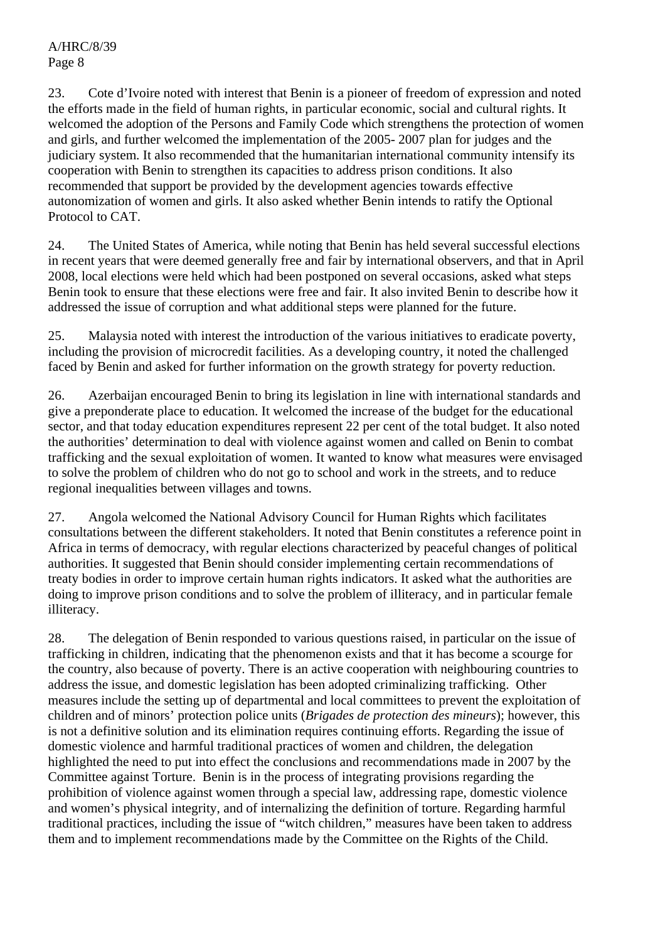23. Cote d'Ivoire noted with interest that Benin is a pioneer of freedom of expression and noted the efforts made in the field of human rights, in particular economic, social and cultural rights. It welcomed the adoption of the Persons and Family Code which strengthens the protection of women and girls, and further welcomed the implementation of the 2005- 2007 plan for judges and the judiciary system. It also recommended that the humanitarian international community intensify its cooperation with Benin to strengthen its capacities to address prison conditions. It also recommended that support be provided by the development agencies towards effective autonomization of women and girls. It also asked whether Benin intends to ratify the Optional Protocol to CAT.

24. The United States of America, while noting that Benin has held several successful elections in recent years that were deemed generally free and fair by international observers, and that in April 2008, local elections were held which had been postponed on several occasions, asked what steps Benin took to ensure that these elections were free and fair. It also invited Benin to describe how it addressed the issue of corruption and what additional steps were planned for the future.

25. Malaysia noted with interest the introduction of the various initiatives to eradicate poverty, including the provision of microcredit facilities. As a developing country, it noted the challenged faced by Benin and asked for further information on the growth strategy for poverty reduction.

26. Azerbaijan encouraged Benin to bring its legislation in line with international standards and give a preponderate place to education. It welcomed the increase of the budget for the educational sector, and that today education expenditures represent 22 per cent of the total budget. It also noted the authorities' determination to deal with violence against women and called on Benin to combat trafficking and the sexual exploitation of women. It wanted to know what measures were envisaged to solve the problem of children who do not go to school and work in the streets, and to reduce regional inequalities between villages and towns.

27. Angola welcomed the National Advisory Council for Human Rights which facilitates consultations between the different stakeholders. It noted that Benin constitutes a reference point in Africa in terms of democracy, with regular elections characterized by peaceful changes of political authorities. It suggested that Benin should consider implementing certain recommendations of treaty bodies in order to improve certain human rights indicators. It asked what the authorities are doing to improve prison conditions and to solve the problem of illiteracy, and in particular female illiteracy.

28. The delegation of Benin responded to various questions raised, in particular on the issue of trafficking in children, indicating that the phenomenon exists and that it has become a scourge for the country, also because of poverty. There is an active cooperation with neighbouring countries to address the issue, and domestic legislation has been adopted criminalizing trafficking. Other measures include the setting up of departmental and local committees to prevent the exploitation of children and of minors' protection police units (*Brigades de protection des mineurs*); however, this is not a definitive solution and its elimination requires continuing efforts. Regarding the issue of domestic violence and harmful traditional practices of women and children, the delegation highlighted the need to put into effect the conclusions and recommendations made in 2007 by the Committee against Torture. Benin is in the process of integrating provisions regarding the prohibition of violence against women through a special law, addressing rape, domestic violence and women's physical integrity, and of internalizing the definition of torture. Regarding harmful traditional practices, including the issue of "witch children," measures have been taken to address them and to implement recommendations made by the Committee on the Rights of the Child.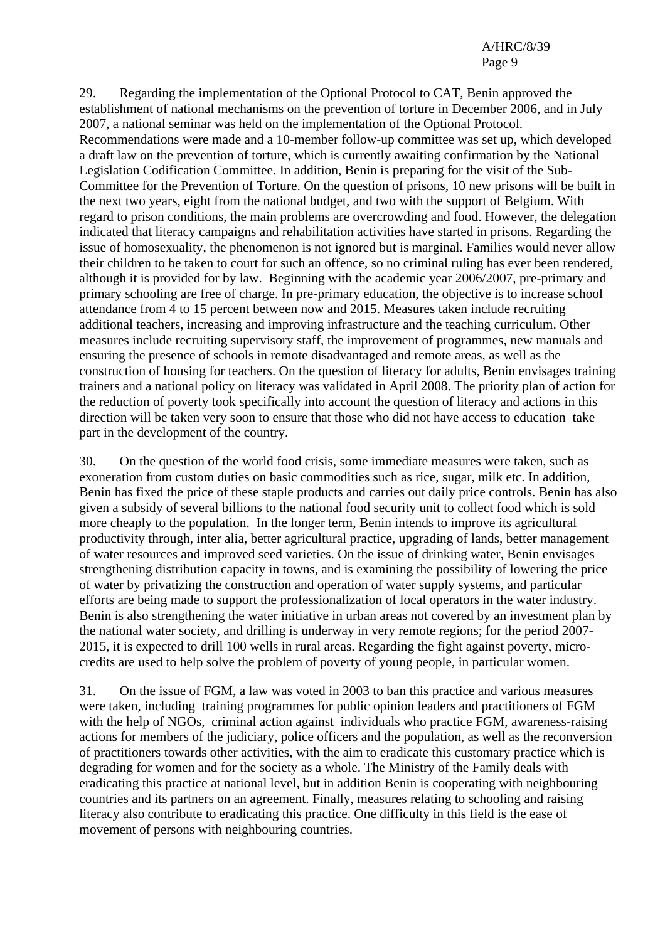29. Regarding the implementation of the Optional Protocol to CAT, Benin approved the establishment of national mechanisms on the prevention of torture in December 2006, and in July 2007, a national seminar was held on the implementation of the Optional Protocol. Recommendations were made and a 10-member follow-up committee was set up, which developed a draft law on the prevention of torture, which is currently awaiting confirmation by the National Legislation Codification Committee. In addition, Benin is preparing for the visit of the Sub-Committee for the Prevention of Torture. On the question of prisons, 10 new prisons will be built in the next two years, eight from the national budget, and two with the support of Belgium. With regard to prison conditions, the main problems are overcrowding and food. However, the delegation indicated that literacy campaigns and rehabilitation activities have started in prisons. Regarding the issue of homosexuality, the phenomenon is not ignored but is marginal. Families would never allow their children to be taken to court for such an offence, so no criminal ruling has ever been rendered, although it is provided for by law. Beginning with the academic year 2006/2007, pre-primary and primary schooling are free of charge. In pre-primary education, the objective is to increase school attendance from 4 to 15 percent between now and 2015. Measures taken include recruiting additional teachers, increasing and improving infrastructure and the teaching curriculum. Other measures include recruiting supervisory staff, the improvement of programmes, new manuals and ensuring the presence of schools in remote disadvantaged and remote areas, as well as the construction of housing for teachers. On the question of literacy for adults, Benin envisages training trainers and a national policy on literacy was validated in April 2008. The priority plan of action for the reduction of poverty took specifically into account the question of literacy and actions in this direction will be taken very soon to ensure that those who did not have access to education take part in the development of the country.

30. On the question of the world food crisis, some immediate measures were taken, such as exoneration from custom duties on basic commodities such as rice, sugar, milk etc. In addition, Benin has fixed the price of these staple products and carries out daily price controls. Benin has also given a subsidy of several billions to the national food security unit to collect food which is sold more cheaply to the population. In the longer term, Benin intends to improve its agricultural productivity through, inter alia, better agricultural practice, upgrading of lands, better management of water resources and improved seed varieties. On the issue of drinking water, Benin envisages strengthening distribution capacity in towns, and is examining the possibility of lowering the price of water by privatizing the construction and operation of water supply systems, and particular efforts are being made to support the professionalization of local operators in the water industry. Benin is also strengthening the water initiative in urban areas not covered by an investment plan by the national water society, and drilling is underway in very remote regions; for the period 2007- 2015, it is expected to drill 100 wells in rural areas. Regarding the fight against poverty, microcredits are used to help solve the problem of poverty of young people, in particular women.

31. On the issue of FGM, a law was voted in 2003 to ban this practice and various measures were taken, including training programmes for public opinion leaders and practitioners of FGM with the help of NGOs, criminal action against individuals who practice FGM, awareness-raising actions for members of the judiciary, police officers and the population, as well as the reconversion of practitioners towards other activities, with the aim to eradicate this customary practice which is degrading for women and for the society as a whole. The Ministry of the Family deals with eradicating this practice at national level, but in addition Benin is cooperating with neighbouring countries and its partners on an agreement. Finally, measures relating to schooling and raising literacy also contribute to eradicating this practice. One difficulty in this field is the ease of movement of persons with neighbouring countries.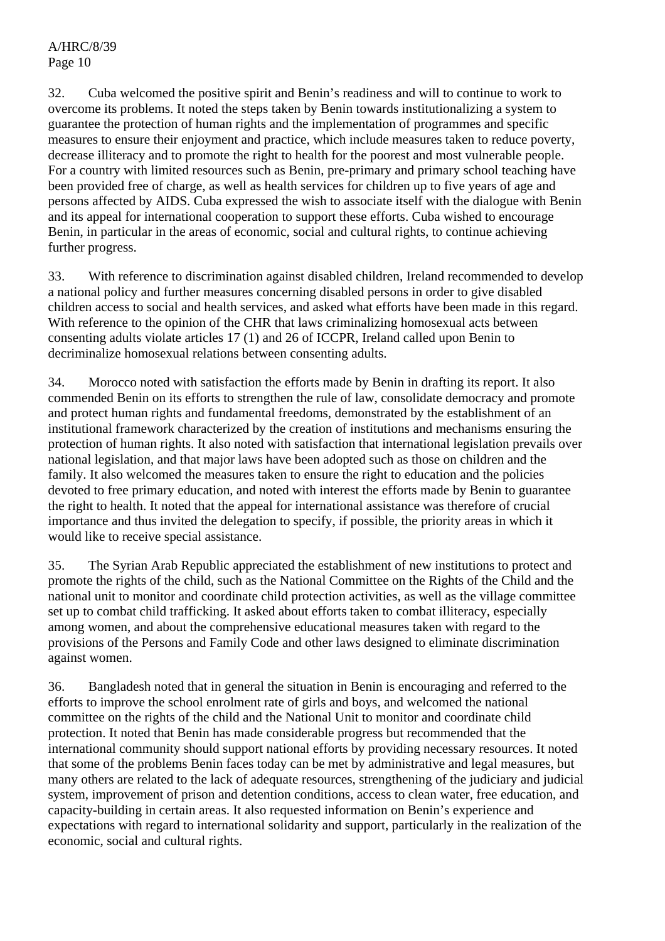32. Cuba welcomed the positive spirit and Benin's readiness and will to continue to work to overcome its problems. It noted the steps taken by Benin towards institutionalizing a system to guarantee the protection of human rights and the implementation of programmes and specific measures to ensure their enjoyment and practice, which include measures taken to reduce poverty, decrease illiteracy and to promote the right to health for the poorest and most vulnerable people. For a country with limited resources such as Benin, pre-primary and primary school teaching have been provided free of charge, as well as health services for children up to five years of age and persons affected by AIDS. Cuba expressed the wish to associate itself with the dialogue with Benin and its appeal for international cooperation to support these efforts. Cuba wished to encourage Benin, in particular in the areas of economic, social and cultural rights, to continue achieving further progress.

33. With reference to discrimination against disabled children, Ireland recommended to develop a national policy and further measures concerning disabled persons in order to give disabled children access to social and health services, and asked what efforts have been made in this regard. With reference to the opinion of the CHR that laws criminalizing homosexual acts between consenting adults violate articles 17 (1) and 26 of ICCPR, Ireland called upon Benin to decriminalize homosexual relations between consenting adults.

34. Morocco noted with satisfaction the efforts made by Benin in drafting its report. It also commended Benin on its efforts to strengthen the rule of law, consolidate democracy and promote and protect human rights and fundamental freedoms, demonstrated by the establishment of an institutional framework characterized by the creation of institutions and mechanisms ensuring the protection of human rights. It also noted with satisfaction that international legislation prevails over national legislation, and that major laws have been adopted such as those on children and the family. It also welcomed the measures taken to ensure the right to education and the policies devoted to free primary education, and noted with interest the efforts made by Benin to guarantee the right to health. It noted that the appeal for international assistance was therefore of crucial importance and thus invited the delegation to specify, if possible, the priority areas in which it would like to receive special assistance.

35. The Syrian Arab Republic appreciated the establishment of new institutions to protect and promote the rights of the child, such as the National Committee on the Rights of the Child and the national unit to monitor and coordinate child protection activities, as well as the village committee set up to combat child trafficking. It asked about efforts taken to combat illiteracy, especially among women, and about the comprehensive educational measures taken with regard to the provisions of the Persons and Family Code and other laws designed to eliminate discrimination against women.

36. Bangladesh noted that in general the situation in Benin is encouraging and referred to the efforts to improve the school enrolment rate of girls and boys, and welcomed the national committee on the rights of the child and the National Unit to monitor and coordinate child protection. It noted that Benin has made considerable progress but recommended that the international community should support national efforts by providing necessary resources. It noted that some of the problems Benin faces today can be met by administrative and legal measures, but many others are related to the lack of adequate resources, strengthening of the judiciary and judicial system, improvement of prison and detention conditions, access to clean water, free education, and capacity-building in certain areas. It also requested information on Benin's experience and expectations with regard to international solidarity and support, particularly in the realization of the economic, social and cultural rights.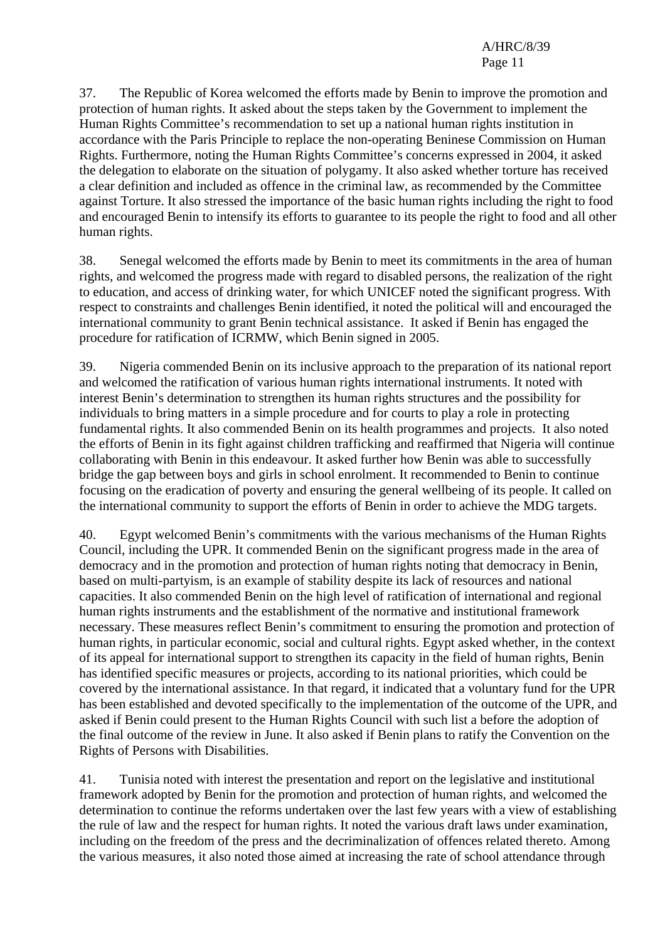37. The Republic of Korea welcomed the efforts made by Benin to improve the promotion and protection of human rights. It asked about the steps taken by the Government to implement the Human Rights Committee's recommendation to set up a national human rights institution in accordance with the Paris Principle to replace the non-operating Beninese Commission on Human Rights. Furthermore, noting the Human Rights Committee's concerns expressed in 2004, it asked the delegation to elaborate on the situation of polygamy. It also asked whether torture has received a clear definition and included as offence in the criminal law, as recommended by the Committee against Torture. It also stressed the importance of the basic human rights including the right to food and encouraged Benin to intensify its efforts to guarantee to its people the right to food and all other human rights.

38. Senegal welcomed the efforts made by Benin to meet its commitments in the area of human rights, and welcomed the progress made with regard to disabled persons, the realization of the right to education, and access of drinking water, for which UNICEF noted the significant progress. With respect to constraints and challenges Benin identified, it noted the political will and encouraged the international community to grant Benin technical assistance. It asked if Benin has engaged the procedure for ratification of ICRMW, which Benin signed in 2005.

39. Nigeria commended Benin on its inclusive approach to the preparation of its national report and welcomed the ratification of various human rights international instruments. It noted with interest Benin's determination to strengthen its human rights structures and the possibility for individuals to bring matters in a simple procedure and for courts to play a role in protecting fundamental rights. It also commended Benin on its health programmes and projects. It also noted the efforts of Benin in its fight against children trafficking and reaffirmed that Nigeria will continue collaborating with Benin in this endeavour. It asked further how Benin was able to successfully bridge the gap between boys and girls in school enrolment. It recommended to Benin to continue focusing on the eradication of poverty and ensuring the general wellbeing of its people. It called on the international community to support the efforts of Benin in order to achieve the MDG targets.

40. Egypt welcomed Benin's commitments with the various mechanisms of the Human Rights Council, including the UPR. It commended Benin on the significant progress made in the area of democracy and in the promotion and protection of human rights noting that democracy in Benin, based on multi-partyism, is an example of stability despite its lack of resources and national capacities. It also commended Benin on the high level of ratification of international and regional human rights instruments and the establishment of the normative and institutional framework necessary. These measures reflect Benin's commitment to ensuring the promotion and protection of human rights, in particular economic, social and cultural rights. Egypt asked whether, in the context of its appeal for international support to strengthen its capacity in the field of human rights, Benin has identified specific measures or projects, according to its national priorities, which could be covered by the international assistance. In that regard, it indicated that a voluntary fund for the UPR has been established and devoted specifically to the implementation of the outcome of the UPR, and asked if Benin could present to the Human Rights Council with such list a before the adoption of the final outcome of the review in June. It also asked if Benin plans to ratify the Convention on the Rights of Persons with Disabilities.

41. Tunisia noted with interest the presentation and report on the legislative and institutional framework adopted by Benin for the promotion and protection of human rights, and welcomed the determination to continue the reforms undertaken over the last few years with a view of establishing the rule of law and the respect for human rights. It noted the various draft laws under examination, including on the freedom of the press and the decriminalization of offences related thereto. Among the various measures, it also noted those aimed at increasing the rate of school attendance through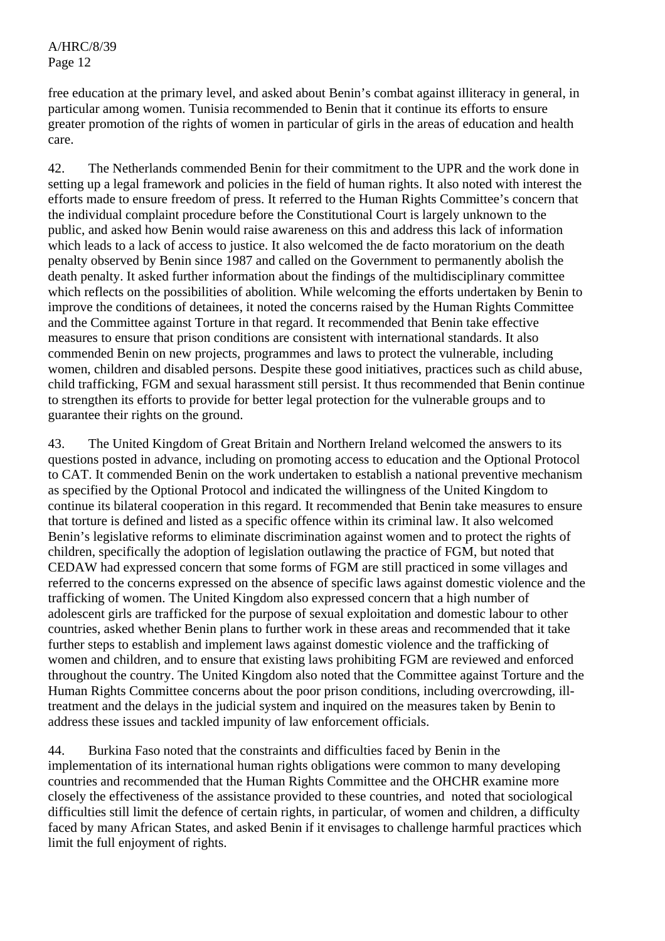free education at the primary level, and asked about Benin's combat against illiteracy in general, in particular among women. Tunisia recommended to Benin that it continue its efforts to ensure greater promotion of the rights of women in particular of girls in the areas of education and health care.

42. The Netherlands commended Benin for their commitment to the UPR and the work done in setting up a legal framework and policies in the field of human rights. It also noted with interest the efforts made to ensure freedom of press. It referred to the Human Rights Committee's concern that the individual complaint procedure before the Constitutional Court is largely unknown to the public, and asked how Benin would raise awareness on this and address this lack of information which leads to a lack of access to justice. It also welcomed the de facto moratorium on the death penalty observed by Benin since 1987 and called on the Government to permanently abolish the death penalty. It asked further information about the findings of the multidisciplinary committee which reflects on the possibilities of abolition. While welcoming the efforts undertaken by Benin to improve the conditions of detainees, it noted the concerns raised by the Human Rights Committee and the Committee against Torture in that regard. It recommended that Benin take effective measures to ensure that prison conditions are consistent with international standards. It also commended Benin on new projects, programmes and laws to protect the vulnerable, including women, children and disabled persons. Despite these good initiatives, practices such as child abuse, child trafficking, FGM and sexual harassment still persist. It thus recommended that Benin continue to strengthen its efforts to provide for better legal protection for the vulnerable groups and to guarantee their rights on the ground.

43. The United Kingdom of Great Britain and Northern Ireland welcomed the answers to its questions posted in advance, including on promoting access to education and the Optional Protocol to CAT. It commended Benin on the work undertaken to establish a national preventive mechanism as specified by the Optional Protocol and indicated the willingness of the United Kingdom to continue its bilateral cooperation in this regard. It recommended that Benin take measures to ensure that torture is defined and listed as a specific offence within its criminal law. It also welcomed Benin's legislative reforms to eliminate discrimination against women and to protect the rights of children, specifically the adoption of legislation outlawing the practice of FGM, but noted that CEDAW had expressed concern that some forms of FGM are still practiced in some villages and referred to the concerns expressed on the absence of specific laws against domestic violence and the trafficking of women. The United Kingdom also expressed concern that a high number of adolescent girls are trafficked for the purpose of sexual exploitation and domestic labour to other countries, asked whether Benin plans to further work in these areas and recommended that it take further steps to establish and implement laws against domestic violence and the trafficking of women and children, and to ensure that existing laws prohibiting FGM are reviewed and enforced throughout the country. The United Kingdom also noted that the Committee against Torture and the Human Rights Committee concerns about the poor prison conditions, including overcrowding, illtreatment and the delays in the judicial system and inquired on the measures taken by Benin to address these issues and tackled impunity of law enforcement officials.

44. Burkina Faso noted that the constraints and difficulties faced by Benin in the implementation of its international human rights obligations were common to many developing countries and recommended that the Human Rights Committee and the OHCHR examine more closely the effectiveness of the assistance provided to these countries, and noted that sociological difficulties still limit the defence of certain rights, in particular, of women and children, a difficulty faced by many African States, and asked Benin if it envisages to challenge harmful practices which limit the full enjoyment of rights.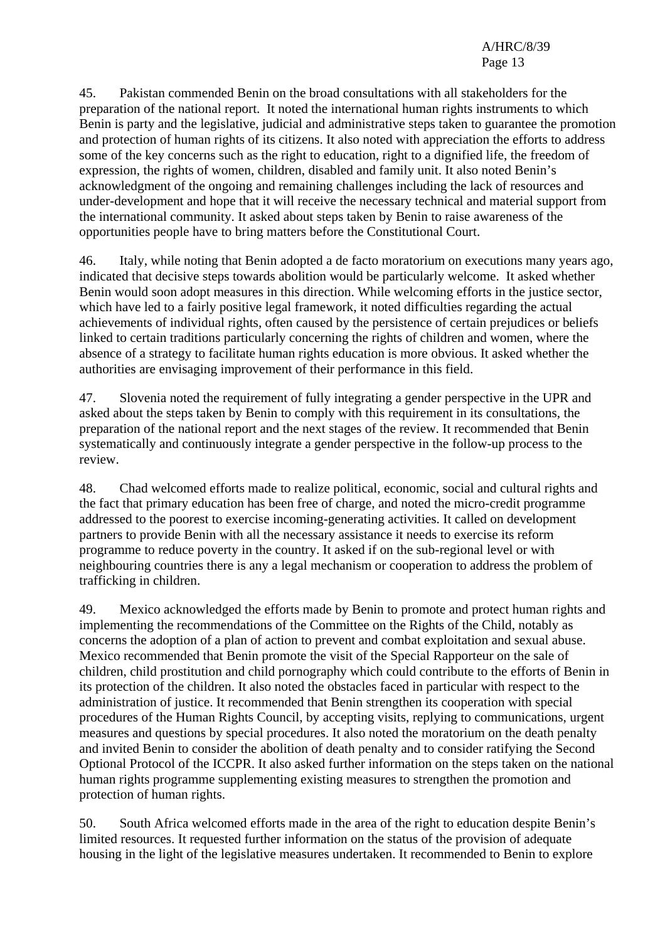45. Pakistan commended Benin on the broad consultations with all stakeholders for the preparation of the national report. It noted the international human rights instruments to which Benin is party and the legislative, judicial and administrative steps taken to guarantee the promotion and protection of human rights of its citizens. It also noted with appreciation the efforts to address some of the key concerns such as the right to education, right to a dignified life, the freedom of expression, the rights of women, children, disabled and family unit. It also noted Benin's acknowledgment of the ongoing and remaining challenges including the lack of resources and under-development and hope that it will receive the necessary technical and material support from the international community. It asked about steps taken by Benin to raise awareness of the opportunities people have to bring matters before the Constitutional Court.

46. Italy, while noting that Benin adopted a de facto moratorium on executions many years ago, indicated that decisive steps towards abolition would be particularly welcome. It asked whether Benin would soon adopt measures in this direction. While welcoming efforts in the justice sector, which have led to a fairly positive legal framework, it noted difficulties regarding the actual achievements of individual rights, often caused by the persistence of certain prejudices or beliefs linked to certain traditions particularly concerning the rights of children and women, where the absence of a strategy to facilitate human rights education is more obvious. It asked whether the authorities are envisaging improvement of their performance in this field.

47. Slovenia noted the requirement of fully integrating a gender perspective in the UPR and asked about the steps taken by Benin to comply with this requirement in its consultations, the preparation of the national report and the next stages of the review. It recommended that Benin systematically and continuously integrate a gender perspective in the follow-up process to the review.

48. Chad welcomed efforts made to realize political, economic, social and cultural rights and the fact that primary education has been free of charge, and noted the micro-credit programme addressed to the poorest to exercise incoming-generating activities. It called on development partners to provide Benin with all the necessary assistance it needs to exercise its reform programme to reduce poverty in the country. It asked if on the sub-regional level or with neighbouring countries there is any a legal mechanism or cooperation to address the problem of trafficking in children.

49. Mexico acknowledged the efforts made by Benin to promote and protect human rights and implementing the recommendations of the Committee on the Rights of the Child, notably as concerns the adoption of a plan of action to prevent and combat exploitation and sexual abuse. Mexico recommended that Benin promote the visit of the Special Rapporteur on the sale of children, child prostitution and child pornography which could contribute to the efforts of Benin in its protection of the children. It also noted the obstacles faced in particular with respect to the administration of justice. It recommended that Benin strengthen its cooperation with special procedures of the Human Rights Council, by accepting visits, replying to communications, urgent measures and questions by special procedures. It also noted the moratorium on the death penalty and invited Benin to consider the abolition of death penalty and to consider ratifying the Second Optional Protocol of the ICCPR. It also asked further information on the steps taken on the national human rights programme supplementing existing measures to strengthen the promotion and protection of human rights.

50. South Africa welcomed efforts made in the area of the right to education despite Benin's limited resources. It requested further information on the status of the provision of adequate housing in the light of the legislative measures undertaken. It recommended to Benin to explore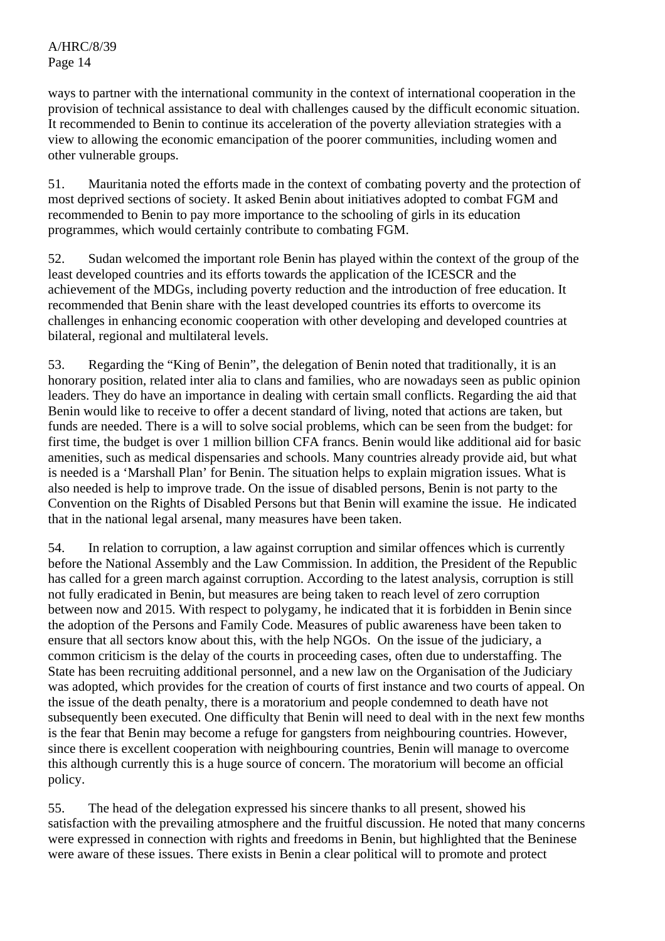ways to partner with the international community in the context of international cooperation in the provision of technical assistance to deal with challenges caused by the difficult economic situation. It recommended to Benin to continue its acceleration of the poverty alleviation strategies with a view to allowing the economic emancipation of the poorer communities, including women and other vulnerable groups.

51. Mauritania noted the efforts made in the context of combating poverty and the protection of most deprived sections of society. It asked Benin about initiatives adopted to combat FGM and recommended to Benin to pay more importance to the schooling of girls in its education programmes, which would certainly contribute to combating FGM.

52. Sudan welcomed the important role Benin has played within the context of the group of the least developed countries and its efforts towards the application of the ICESCR and the achievement of the MDGs, including poverty reduction and the introduction of free education. It recommended that Benin share with the least developed countries its efforts to overcome its challenges in enhancing economic cooperation with other developing and developed countries at bilateral, regional and multilateral levels.

53. Regarding the "King of Benin", the delegation of Benin noted that traditionally, it is an honorary position, related inter alia to clans and families, who are nowadays seen as public opinion leaders. They do have an importance in dealing with certain small conflicts. Regarding the aid that Benin would like to receive to offer a decent standard of living, noted that actions are taken, but funds are needed. There is a will to solve social problems, which can be seen from the budget: for first time, the budget is over 1 million billion CFA francs. Benin would like additional aid for basic amenities, such as medical dispensaries and schools. Many countries already provide aid, but what is needed is a 'Marshall Plan' for Benin. The situation helps to explain migration issues. What is also needed is help to improve trade. On the issue of disabled persons, Benin is not party to the Convention on the Rights of Disabled Persons but that Benin will examine the issue. He indicated that in the national legal arsenal, many measures have been taken.

54. In relation to corruption, a law against corruption and similar offences which is currently before the National Assembly and the Law Commission. In addition, the President of the Republic has called for a green march against corruption. According to the latest analysis, corruption is still not fully eradicated in Benin, but measures are being taken to reach level of zero corruption between now and 2015. With respect to polygamy, he indicated that it is forbidden in Benin since the adoption of the Persons and Family Code. Measures of public awareness have been taken to ensure that all sectors know about this, with the help NGOs. On the issue of the judiciary, a common criticism is the delay of the courts in proceeding cases, often due to understaffing. The State has been recruiting additional personnel, and a new law on the Organisation of the Judiciary was adopted, which provides for the creation of courts of first instance and two courts of appeal. On the issue of the death penalty, there is a moratorium and people condemned to death have not subsequently been executed. One difficulty that Benin will need to deal with in the next few months is the fear that Benin may become a refuge for gangsters from neighbouring countries. However, since there is excellent cooperation with neighbouring countries, Benin will manage to overcome this although currently this is a huge source of concern. The moratorium will become an official policy.

55. The head of the delegation expressed his sincere thanks to all present, showed his satisfaction with the prevailing atmosphere and the fruitful discussion. He noted that many concerns were expressed in connection with rights and freedoms in Benin, but highlighted that the Beninese were aware of these issues. There exists in Benin a clear political will to promote and protect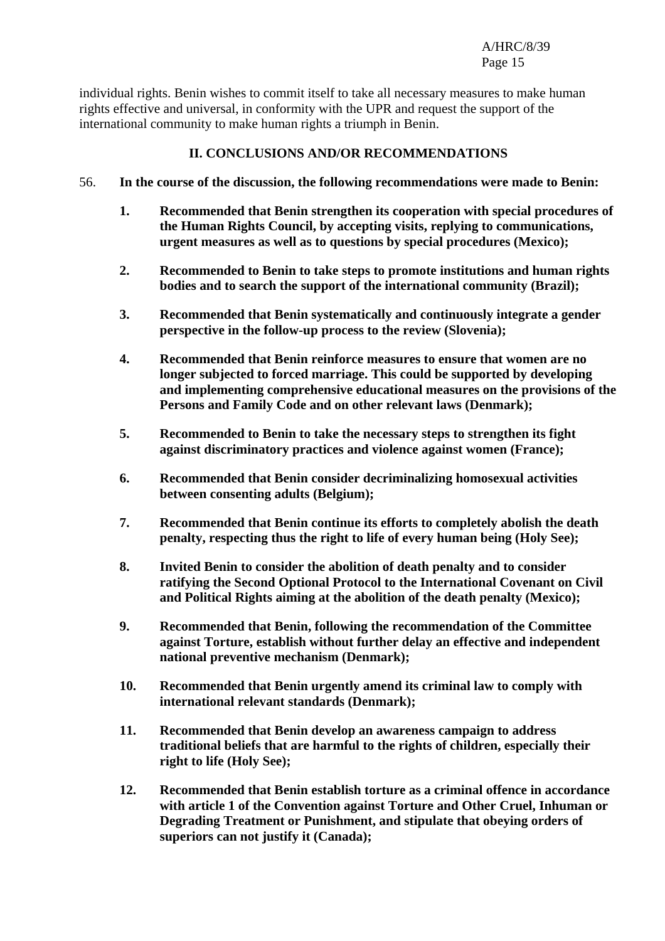individual rights. Benin wishes to commit itself to take all necessary measures to make human rights effective and universal, in conformity with the UPR and request the support of the international community to make human rights a triumph in Benin.

### **II. CONCLUSIONS AND/OR RECOMMENDATIONS**

- 56. **In the course of the discussion, the following recommendations were made to Benin:** 
	- **1. Recommended that Benin strengthen its cooperation with special procedures of the Human Rights Council, by accepting visits, replying to communications, urgent measures as well as to questions by special procedures (Mexico);**
	- **2. Recommended to Benin to take steps to promote institutions and human rights bodies and to search the support of the international community (Brazil);**
	- **3. Recommended that Benin systematically and continuously integrate a gender perspective in the follow-up process to the review (Slovenia);**
	- **4. Recommended that Benin reinforce measures to ensure that women are no longer subjected to forced marriage. This could be supported by developing and implementing comprehensive educational measures on the provisions of the Persons and Family Code and on other relevant laws (Denmark);**
	- **5. Recommended to Benin to take the necessary steps to strengthen its fight against discriminatory practices and violence against women (France);**
	- **6. Recommended that Benin consider decriminalizing homosexual activities between consenting adults (Belgium);**
	- **7. Recommended that Benin continue its efforts to completely abolish the death penalty, respecting thus the right to life of every human being (Holy See);**
	- **8. Invited Benin to consider the abolition of death penalty and to consider ratifying the Second Optional Protocol to the International Covenant on Civil and Political Rights aiming at the abolition of the death penalty (Mexico);**
	- **9. Recommended that Benin, following the recommendation of the Committee against Torture, establish without further delay an effective and independent national preventive mechanism (Denmark);**
	- **10. Recommended that Benin urgently amend its criminal law to comply with international relevant standards (Denmark);**
	- **11. Recommended that Benin develop an awareness campaign to address traditional beliefs that are harmful to the rights of children, especially their right to life (Holy See);**
	- **12. Recommended that Benin establish torture as a criminal offence in accordance with article 1 of the Convention against Torture and Other Cruel, Inhuman or Degrading Treatment or Punishment, and stipulate that obeying orders of superiors can not justify it (Canada);**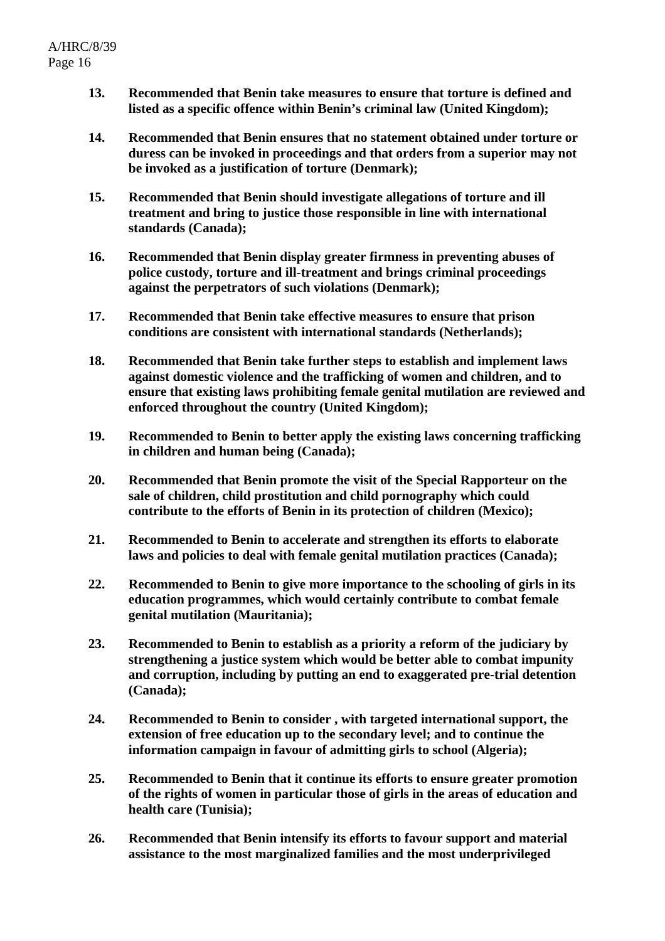- **13. Recommended that Benin take measures to ensure that torture is defined and listed as a specific offence within Benin's criminal law (United Kingdom);**
- **14. Recommended that Benin ensures that no statement obtained under torture or duress can be invoked in proceedings and that orders from a superior may not be invoked as a justification of torture (Denmark);**
- **15. Recommended that Benin should investigate allegations of torture and ill treatment and bring to justice those responsible in line with international standards (Canada);**
- **16. Recommended that Benin display greater firmness in preventing abuses of police custody, torture and ill-treatment and brings criminal proceedings against the perpetrators of such violations (Denmark);**
- **17. Recommended that Benin take effective measures to ensure that prison conditions are consistent with international standards (Netherlands);**
- **18. Recommended that Benin take further steps to establish and implement laws against domestic violence and the trafficking of women and children, and to ensure that existing laws prohibiting female genital mutilation are reviewed and enforced throughout the country (United Kingdom);**
- **19. Recommended to Benin to better apply the existing laws concerning trafficking in children and human being (Canada);**
- **20. Recommended that Benin promote the visit of the Special Rapporteur on the sale of children, child prostitution and child pornography which could contribute to the efforts of Benin in its protection of children (Mexico);**
- **21. Recommended to Benin to accelerate and strengthen its efforts to elaborate laws and policies to deal with female genital mutilation practices (Canada);**
- **22. Recommended to Benin to give more importance to the schooling of girls in its education programmes, which would certainly contribute to combat female genital mutilation (Mauritania);**
- **23. Recommended to Benin to establish as a priority a reform of the judiciary by strengthening a justice system which would be better able to combat impunity and corruption, including by putting an end to exaggerated pre-trial detention (Canada);**
- **24. Recommended to Benin to consider , with targeted international support, the extension of free education up to the secondary level; and to continue the information campaign in favour of admitting girls to school (Algeria);**
- **25. Recommended to Benin that it continue its efforts to ensure greater promotion of the rights of women in particular those of girls in the areas of education and health care (Tunisia);**
- **26. Recommended that Benin intensify its efforts to favour support and material assistance to the most marginalized families and the most underprivileged**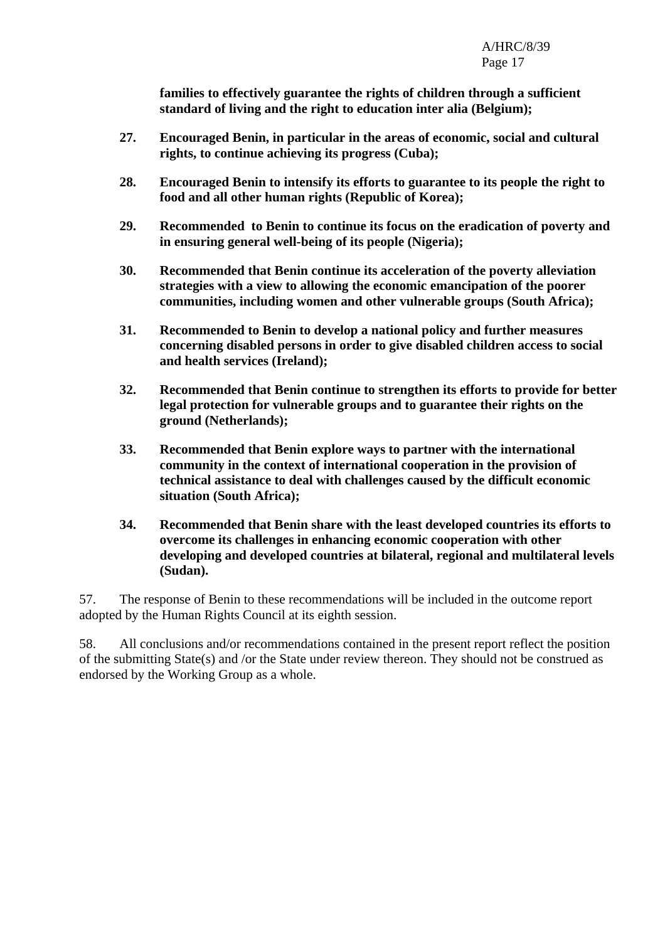**families to effectively guarantee the rights of children through a sufficient standard of living and the right to education inter alia (Belgium);** 

- **27. Encouraged Benin, in particular in the areas of economic, social and cultural rights, to continue achieving its progress (Cuba);**
- **28. Encouraged Benin to intensify its efforts to guarantee to its people the right to food and all other human rights (Republic of Korea);**
- **29. Recommended to Benin to continue its focus on the eradication of poverty and in ensuring general well-being of its people (Nigeria);**
- **30. Recommended that Benin continue its acceleration of the poverty alleviation strategies with a view to allowing the economic emancipation of the poorer communities, including women and other vulnerable groups (South Africa);**
- **31. Recommended to Benin to develop a national policy and further measures concerning disabled persons in order to give disabled children access to social and health services (Ireland);**
- **32. Recommended that Benin continue to strengthen its efforts to provide for better legal protection for vulnerable groups and to guarantee their rights on the ground (Netherlands);**
- **33. Recommended that Benin explore ways to partner with the international community in the context of international cooperation in the provision of technical assistance to deal with challenges caused by the difficult economic situation (South Africa);**
- **34. Recommended that Benin share with the least developed countries its efforts to overcome its challenges in enhancing economic cooperation with other developing and developed countries at bilateral, regional and multilateral levels (Sudan).**

57. The response of Benin to these recommendations will be included in the outcome report adopted by the Human Rights Council at its eighth session.

58. All conclusions and/or recommendations contained in the present report reflect the position of the submitting State(s) and /or the State under review thereon. They should not be construed as endorsed by the Working Group as a whole.